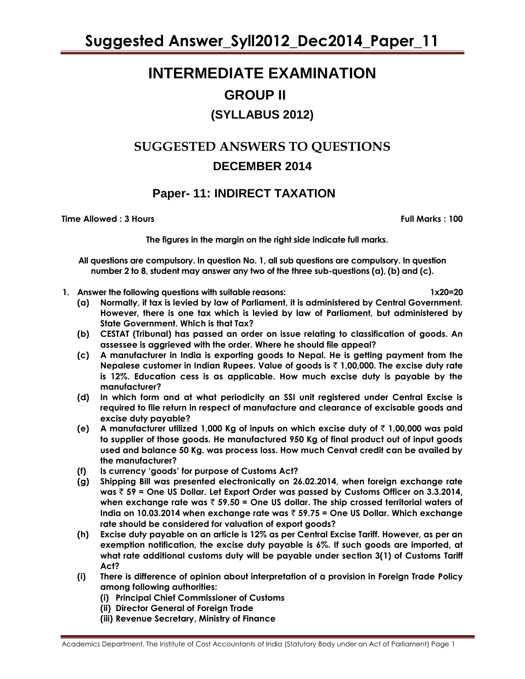# **INTERMEDIATE EXAMINATION GROUP II (SYLLABUS 2012)**

# **SUGGESTED ANSWERS TO QUESTIONS DECEMBER 2014**

# **Paper- 11: INDIRECT TAXATION**

**Time Allowed : 3 Hours Full Marks : 100**

**The figures in the margin on the right side indicate full marks.**

**All questions are compulsory. In question No. 1, all sub questions are compulsory. In question number 2 to 8, student may answer any two of the three sub-questions (a), (b) and (c).**

- **1. Answer the following questions with suitable reasons: 1x20=20**
	- **(a) Normally, if tax is levied by law of Parliament, it is administered by Central Government. However, there is one tax which is levied by law of Parliament, but administered by State Government. Which is that Tax?**
	- **(b) CESTAT (Tribunal) has passed an order on issue relating to classification of goods. An assessee is aggrieved with the order. Where he should file appeal?**
	- **(c) A manufacturer in India is exporting goods to Nepal. He is getting payment from the Nepalese customer in Indian Rupees. Value of goods is** ` **1,00,000. The excise duty rate is 12%. Education cess is as applicable. How much excise duty is payable by the manufacturer?**
	- **(d) In which form and at what periodicity an SSI unit registered under Central Excise is required to file return in respect of manufacture and clearance of excisable goods and excise duty payable?**
	- **(e) A manufacturer utilized 1,000 Kg of inputs on which excise duty of** ` **1,00,000 was paid to supplier of those goods. He manufactured 950 Kg of final product out of input goods used and balance 50 Kg. was process loss. How much Cenvat credit can be availed by the manufacturer?**
	- **(f) Is currency 'goods' for purpose of Customs Act?**
	- **(g) Shipping Bill was presented electronically on 26.02.2014, when foreign exchange rate was** ` **59 = One US Dollar. Let Export Order was passed by Customs Officer on 3.3.2014, when exchange rate was** ` **59.50 = One US dollar. The ship crossed territorial waters of India on 10.03.2014 when exchange rate was** ` **59.75 = One US Dollar. Which exchange rate should be considered for valuation of export goods?**
	- **(h) Excise duty payable on an article is 12% as per Central Excise Tariff. However, as per an exemption notification, the excise duty payable is 6%. If such goods are imported, at what rate additional customs duty will be payable under section 3(1) of Customs Tariff Act?**
	- **(i) There is difference of opinion about interpretation of a provision in Foreign Trade Policy among following authorities:** 
		- **(i) Principal Chief Commissioner of Customs**
		- **(ii) Director General of Foreign Trade**
		- **(iii) Revenue Secretary, Ministry of Finance**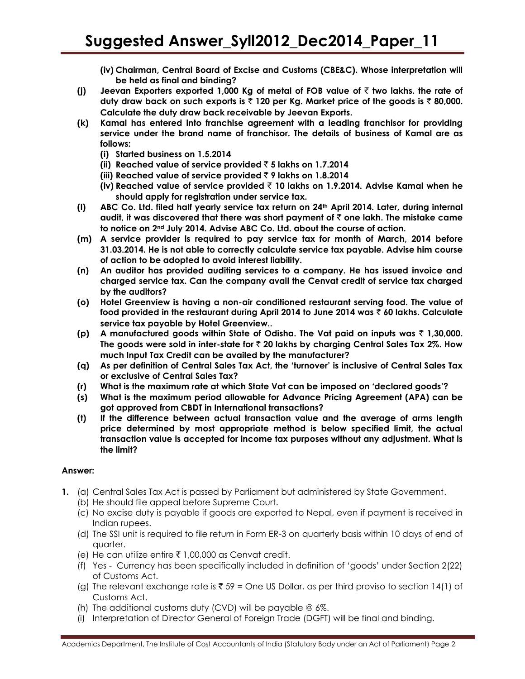- **(iv) Chairman, Central Board of Excise and Customs (CBE&C). Whose interpretation will be held as final and binding?**
- **(j) Jeevan Exporters exported 1,000 Kg of metal of FOB value of** ` **two lakhs. the rate of duty draw back on such exports is** ` **120 per Kg. Market price of the goods is** ` **80,000. Calculate the duty draw back receivable by Jeevan Exports.**
- **(k) Kamal has entered into franchise agreement with a leading franchisor for providing service under the brand name of franchisor. The details of business of Kamal are as follows:**
	- **(i) Started business on 1.5.2014**
	- **(ii) Reached value of service provided** ` **5 lakhs on 1.7.2014**
	- **(iii) Reached value of service provided** ` **9 lakhs on 1.8.2014**
	- **(iv) Reached value of service provided** ` **10 lakhs on 1.9.2014. Advise Kamal when he should apply for registration under service tax.**
- **(l) ABC Co. Ltd. filed half yearly service tax return on 24th April 2014. Later, during internal audit, it was discovered that there was short payment of** ` **one lakh. The mistake came to notice on 2nd July 2014. Advise ABC Co. Ltd. about the course of action.**
- **(m) A service provider is required to pay service tax for month of March, 2014 before 31.03.2014. He is not able to correctly calculate service tax payable. Advise him course of action to be adopted to avoid interest liability.**
- **(n) An auditor has provided auditing services to a company. He has issued invoice and charged service tax. Can the company avail the Cenvat credit of service tax charged by the auditors?**
- **(o) Hotel Greenview is having a non-air conditioned restaurant serving food. The value of food provided in the restaurant during April 2014 to June 2014 was** ` **60 lakhs. Calculate service tax payable by Hotel Greenview..**
- **(p) A manufactured goods within State of Odisha. The Vat paid on inputs was** ` **1,30,000. The goods were sold in inter-state for** ` **20 lakhs by charging Central Sales Tax 2%. How much Input Tax Credit can be availed by the manufacturer?**
- **(q) As per definition of Central Sales Tax Act, the 'turnover' is inclusive of Central Sales Tax or exclusive of Central Sales Tax?**
- **(r) What is the maximum rate at which State Vat can be imposed on 'declared goods'?**
- **(s) What is the maximum period allowable for Advance Pricing Agreement (APA) can be got approved from CBDT in International transactions?**
- **(t) If the difference between actual transaction value and the average of arms length price determined by most appropriate method is below specified limit, the actual transaction value is accepted for income tax purposes without any adjustment. What is the limit?**

- **1.** (a) Central Sales Tax Act is passed by Parliament but administered by State Government.
	- (b) He should file appeal before Supreme Court.
	- (c) No excise duty is payable if goods are exported to Nepal, even if payment is received in Indian rupees.
	- (d) The SSI unit is required to file return in Form ER-3 on quarterly basis within 10 days of end of quarter.
	- (e) He can utilize entire  $\bar{\tau}$  1,00,000 as Cenvat credit.
	- (f) Yes Currency has been specifically included in definition of 'goods' under Section 2(22) of Customs Act.
	- (g) The relevant exchange rate is  $\bar{x}$  59 = One US Dollar, as per third proviso to section 14(1) of Customs Act.
	- (h) The additional customs duty (CVD) will be payable @ 6%.
	- (i) Interpretation of Director General of Foreign Trade (DGFT) will be final and binding.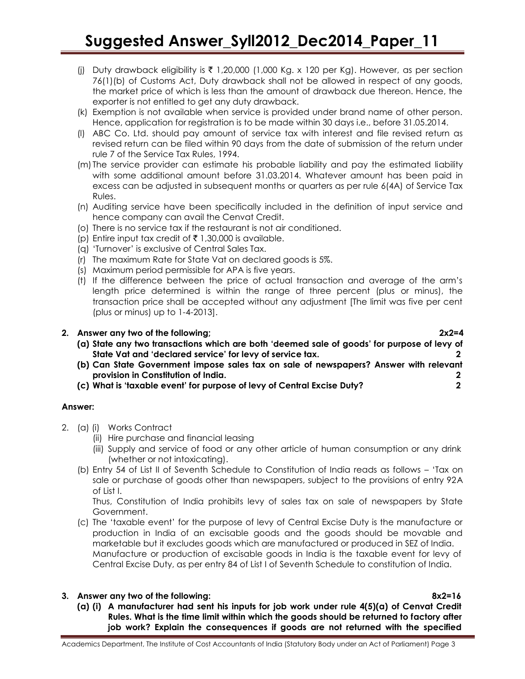- (i) Duty drawback eligibility is  $\bar{\tau}$  1,20,000 (1,000 Kg. x 120 per Kg). However, as per section 76(1)(b) of Customs Act, Duty drawback shall not be allowed in respect of any goods, the market price of which is less than the amount of drawback due thereon. Hence, the exporter is not entitled to get any duty drawback.
- (k) Exemption is not available when service is provided under brand name of other person. Hence, application for registration is to be made within 30 days i.e., before 31.05.2014.
- (l) ABC Co. Ltd. should pay amount of service tax with interest and file revised return as revised return can be filed within 90 days from the date of submission of the return under rule 7 of the Service Tax Rules, 1994.
- (m) The service provider can estimate his probable liability and pay the estimated liability with some additional amount before 31.03.2014. Whatever amount has been paid in excess can be adjusted in subsequent months or quarters as per rule 6(4A) of Service Tax Rules.
- (n) Auditing service have been specifically included in the definition of input service and hence company can avail the Cenvat Credit.
- (o) There is no service tax if the restaurant is not air conditioned.
- (p) Entire input tax credit of  $\bar{\tau}$  1,30,000 is available.
- (q) 'Turnover' is exclusive of Central Sales Tax.
- (r) The maximum Rate for State Vat on declared goods is 5%.
- (s) Maximum period permissible for APA is five years.
- (t) If the difference between the price of actual transaction and average of the arm's length price determined is within the range of three percent (plus or minus), the transaction price shall be accepted without any adjustment [The limit was five per cent (plus or minus) up to 1-4-2013].

# **2. Answer any two of the following; 2x2=4**

- **(a) State any two transactions which are both 'deemed sale of goods' for purpose of levy of State Vat and 'declared service' for levy of service tax. 2**
- **(b) Can State Government impose sales tax on sale of newspapers? Answer with relevant provision in Constitution of India. 2**
- **(c) What is 'taxable event' for purpose of levy of Central Excise Duty? 2**

# **Answer:**

- 2. (a) (i) Works Contract
	- (ii) Hire purchase and financial leasing
	- (iii) Supply and service of food or any other article of human consumption or any drink (whether or not intoxicating).
	- (b) Entry 54 of List II of Seventh Schedule to Constitution of India reads as follows 'Tax on sale or purchase of goods other than newspapers, subject to the provisions of entry 92A of List I.

Thus, Constitution of India prohibits levy of sales tax on sale of newspapers by State Government.

(c) The 'taxable event' for the purpose of levy of Central Excise Duty is the manufacture or production in India of an excisable goods and the goods should be movable and marketable but it excludes goods which are manufactured or produced in SEZ of India. Manufacture or production of excisable goods in India is the taxable event for levy of Central Excise Duty, as per entry 84 of List I of Seventh Schedule to constitution of India.

# **3. Answer any two of the following: 8x2=16**

**(a) (i) A manufacturer had sent his inputs for job work under rule 4(5)(a) of Cenvat Credit Rules. What is the time limit within which the goods should be returned to factory after job work? Explain the consequences if goods are not returned with the specified**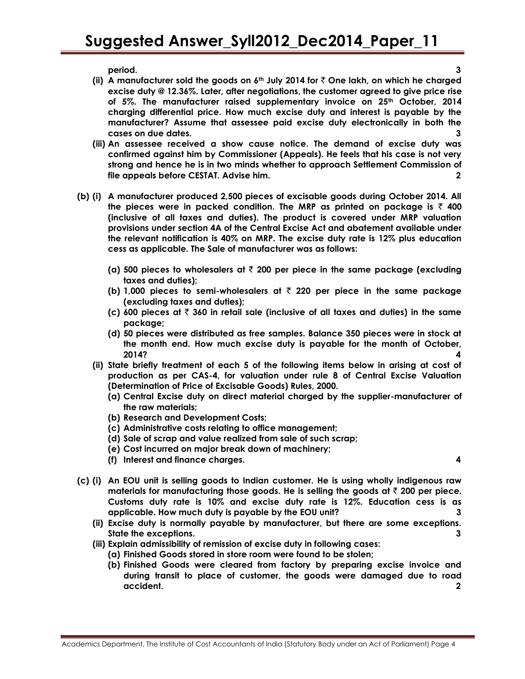**period. 3**

- **(ii) A manufacturer sold the goods on 6th July 2014 for** ` **One lakh, on which he charged excise duty @ 12.36%. Later, after negotiations, the customer agreed to give price rise of 5%. The manufacturer raised supplementary invoice on 25th October, 2014 charging differential price. How much excise duty and interest is payable by the manufacturer? Assume that assessee paid excise duty electronically in both the cases on due dates. 3**
- **(iii) An assessee received a show cause notice. The demand of excise duty was confirmed against him by Commissioner (Appeals). He feels that his case is not very strong and hence he is in two minds whether to approach Settlement Commission of file appeals before CESTAT. Advise him. 2**
- **(b) (i) A manufacturer produced 2,500 pieces of excisable goods during October 2014. All**  the pieces were in packed condition. The MRP as printed on package is  $\bar{z}$  400 **(inclusive of all taxes and duties). The product is covered under MRP valuation provisions under section 4A of the Central Excise Act and abatement available under the relevant notification is 40% on MRP. The excise duty rate is 12% plus education cess as applicable. The Sale of manufacturer was as follows:** 
	- **(a) 500 pieces to wholesalers at** ` **200 per piece in the same package (excluding taxes and duties);**
	- **(b) 1,000 pieces to semi-wholesalers at** ` **220 per piece in the same package (excluding taxes and duties);**
	- **(c) 600 pieces at** ` **360 in retail sale (inclusive of all taxes and duties) in the same package;**
	- **(d) 50 pieces were distributed as free samples. Balance 350 pieces were in stock at the month end. How much excise duty is payable for the month of October, 2014? 4**
	- **(ii) State briefly treatment of each 5 of the following items below in arising at cost of production as per CAS-4, for valuation under rule 8 of Central Excise Valuation (Determination of Price of Excisable Goods) Rules, 2000.**
		- **(a) Central Excise duty on direct material charged by the supplier-manufacturer of the raw materials;**
		- **(b) Research and Development Costs;**
		- **(c) Administrative costs relating to office management;**
		- **(d) Sale of scrap and value realized from sale of such scrap;**
		- **(e) Cost incurred on major break down of machinery;**
		- **(f) Interest and finance charges. 4**

- **(c) (i) An EOU unit is selling goods to Indian customer. He is using wholly indigenous raw materials for manufacturing those goods. He is selling the goods at** ` **200 per piece. Customs duty rate is 10% and excise duty rate is 12%. Education cess is as applicable. How much duty is payable by the EOU unit? 3**
	- **(ii) Excise duty is normally payable by manufacturer, but there are some exceptions. State the exceptions. 3**
	- **(iii) Explain admissibility of remission of excise duty in following cases:** 
		- **(a) Finished Goods stored in store room were found to be stolen;**
		- **(b) Finished Goods were cleared from factory by preparing excise invoice and during transit to place of customer, the goods were damaged due to road accident. 2**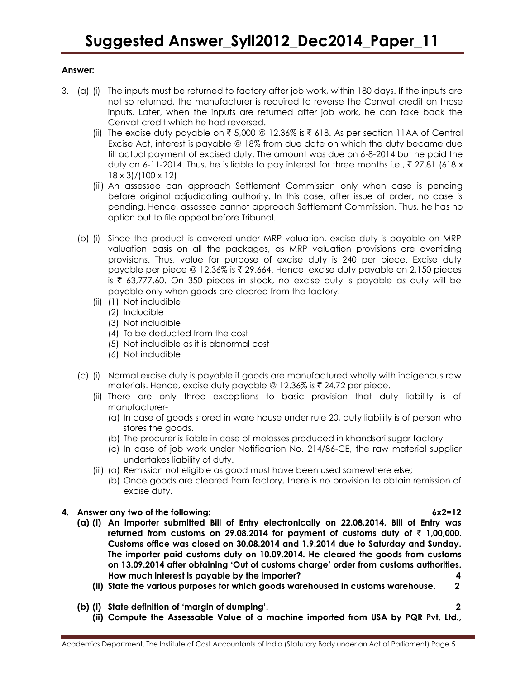- 3. (a) (i) The inputs must be returned to factory after job work, within 180 days. If the inputs are not so returned, the manufacturer is required to reverse the Cenvat credit on those inputs. Later, when the inputs are returned after job work, he can take back the Cenvat credit which he had reversed.
	- (ii) The excise duty payable on  $\bar{\xi}$  5,000 @ 12.36% is  $\bar{\xi}$  618. As per section 11AA of Central Excise Act, interest is payable @ 18% from due date on which the duty became due till actual payment of excised duty. The amount was due on 6-8-2014 but he paid the duty on 6-11-2014. Thus, he is liable to pay interest for three months i.e.,  $\bar{\tau}$  27.81 (618 x 18 x 3)/(100 x 12)
	- (iii) An assessee can approach Settlement Commission only when case is pending before original adjudicating authority. In this case, after issue of order, no case is pending. Hence, assessee cannot approach Settlement Commission. Thus, he has no option but to file appeal before Tribunal.
	- (b) (i) Since the product is covered under MRP valuation, excise duty is payable on MRP valuation basis on all the packages, as MRP valuation provisions are overriding provisions. Thus, value for purpose of excise duty is 240 per piece. Excise duty payable per piece @ 12.36% is  $\bar{\tau}$  29.664. Hence, excise duty payable on 2,150 pieces is  $\bar{\tau}$  63,777.60. On 350 pieces in stock, no excise duty is payable as duty will be payable only when goods are cleared from the factory.
		- (ii) (1) Not includible
			- (2) Includible
			- (3) Not includible
			- (4) To be deducted from the cost
			- (5) Not includible as it is abnormal cost
			- (6) Not includible
	- (c) (i) Normal excise duty is payable if goods are manufactured wholly with indigenous raw materials. Hence, excise duty payable @ 12.36% is  $\bar{\tau}$  24.72 per piece.
		- (ii) There are only three exceptions to basic provision that duty liability is of manufacturer-
			- (a) In case of goods stored in ware house under rule 20, duty liability is of person who stores the goods.
			- (b) The procurer is liable in case of molasses produced in khandsari sugar factory
			- (c) In case of job work under Notification No. 214/86-CE, the raw material supplier undertakes liability of duty.
		- (iii) (a) Remission not eligible as good must have been used somewhere else;
			- (b) Once goods are cleared from factory, there is no provision to obtain remission of excise duty.
- **4. Answer any two of the following: 6x2=12**
	- **(a) (i) An importer submitted Bill of Entry electronically on 22.08.2014. Bill of Entry was**  returned from customs on 29.08.2014 for payment of customs duty of  $\bar{\tau}$  1,00,000. **Customs office was closed on 30.08.2014 and 1.9.2014 due to Saturday and Sunday. The importer paid customs duty on 10.09.2014. He cleared the goods from customs on 13.09.2014 after obtaining 'Out of customs charge' order from customs authorities. How much interest is payable by the importer? 4**
		- **(ii) State the various purposes for which goods warehoused in customs warehouse. 2**
	- **(b) (i) State definition of 'margin of dumping'. 2**
		- **(ii) Compute the Assessable Value of a machine imported from USA by PQR Pvt. Ltd.,**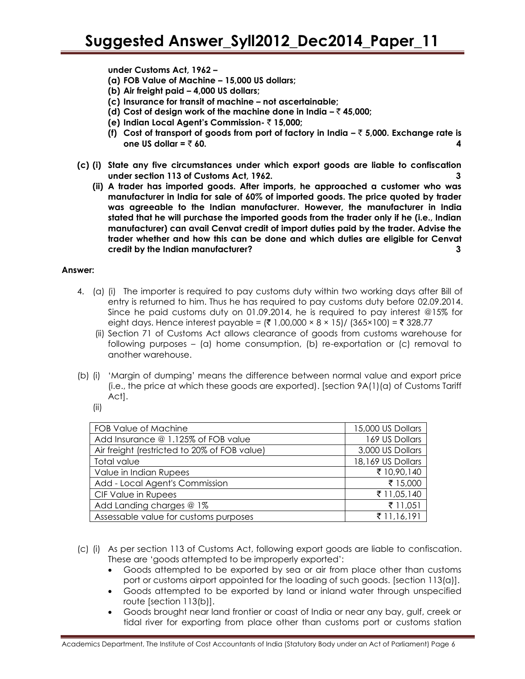**under Customs Act, 1962 –**

- **(a) FOB Value of Machine – 15,000 US dollars;**
- **(b) Air freight paid – 4,000 US dollars;**
- **(c) Insurance for transit of machine – not ascertainable;**
- **(d)** Cost of design work of the machine done in India  $-\overline{\zeta}$  45,000;
- **(e) Indian Local Agent's Commission-** ` **15,000;**
- **(f) Cost of transport of goods from port of factory in India –** ` **5,000. Exchange rate is one US dollar =**  $\bar{\tau}$  **60.**  $\blacksquare$
- **(c) (i) State any five circumstances under which export goods are liable to confiscation under section 113 of Customs Act, 1962. 3**
	- **(ii) A trader has imported goods. After imports, he approached a customer who was manufacturer in India for sale of 60% of imported goods. The price quoted by trader was agreeable to the Indian manufacturer. However, the manufacturer in India stated that he will purchase the imported goods from the trader only if he (i.e., Indian manufacturer) can avail Cenvat credit of import duties paid by the trader. Advise the trader whether and how this can be done and which duties are eligible for Cenvat credit by the Indian manufacturer? 3**

- 4. (a) (i) The importer is required to pay customs duty within two working days after Bill of entry is returned to him. Thus he has required to pay customs duty before 02.09.2014. Since he paid customs duty on 01.09.2014, he is required to pay interest @15% for eight days. Hence interest payable =  $(3 \times 100,000 \times 8 \times 15) / (365 \times 100) = 328.77$ 
	- (ii) Section 71 of Customs Act allows clearance of goods from customs warehouse for following purposes – (a) home consumption, (b) re-exportation or (c) removal to another warehouse.
- (b) (i) 'Margin of dumping' means the difference between normal value and export price (i.e., the price at which these goods are exported). [section 9A(1)(a) of Customs Tariff Act].
	- (ii)

| FOB Value of Machine                         | 15,000 US Dollars |
|----------------------------------------------|-------------------|
| Add Insurance @ 1.125% of FOB value          | 169 US Dollars    |
| Air freight (restricted to 20% of FOB value) | 3,000 US Dollars  |
| Total value                                  | 18,169 US Dollars |
| Value in Indian Rupees                       | ₹ 10,90,140       |
| Add - Local Agent's Commission               | ₹ 15,000          |
| CIF Value in Rupees                          | ₹ 11,05,140       |
| Add Landing charges @ 1%                     | ₹ 11,051          |
| Assessable value for customs purposes        | ₹ 11,16,191       |

- (c) (i) As per section 113 of Customs Act, following export goods are liable to confiscation. These are 'goods attempted to be improperly exported':
	- Goods attempted to be exported by sea or air from place other than customs port or customs airport appointed for the loading of such goods. [section 113(a)].
	- Goods attempted to be exported by land or inland water through unspecified route [section 113(b)].
	- Goods brought near land frontier or coast of India or near any bay, gulf, creek or tidal river for exporting from place other than customs port or customs station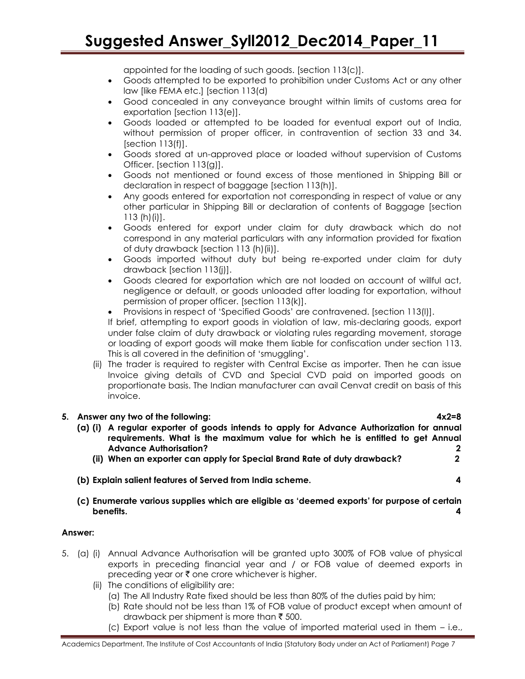appointed for the loading of such goods. [section 113(c)].

- Goods attempted to be exported to prohibition under Customs Act or any other law [like FEMA etc.] [section 113(d)
- Good concealed in any conveyance brought within limits of customs area for exportation [section 113(e)].
- Goods loaded or attempted to be loaded for eventual export out of India, without permission of proper officer, in contravention of section 33 and 34.  $[section 113(f)].$
- Goods stored at un-approved place or loaded without supervision of Customs Officer. [section 113(g)].
- Goods not mentioned or found excess of those mentioned in Shipping Bill or declaration in respect of baggage [section 113(h)].
- Any goods entered for exportation not corresponding in respect of value or any other particular in Shipping Bill or declaration of contents of Baggage [section 113 (h)(i)].
- Goods entered for export under claim for duty drawback which do not correspond in any material particulars with any information provided for fixation of duty drawback [section 113 (h)(ii)].
- Goods imported without duty but being re-exported under claim for duty drawback [section 113(j)].
- Goods cleared for exportation which are not loaded on account of willful act, negligence or default, or goods unloaded after loading for exportation, without permission of proper officer. [section 113(k)].
- Provisions in respect of 'Specified Goods' are contravened. [section 113(l)].

If brief, attempting to export goods in violation of law, mis-declaring goods, export under false claim of duty drawback or violating rules regarding movement, storage or loading of export goods will make them liable for confiscation under section 113. This is all covered in the definition of 'smuggling'.

(ii) The trader is required to register with Central Excise as importer. Then he can issue Invoice giving details of CVD and Special CVD paid on imported goods on proportionate basis. The Indian manufacturer can avail Cenvat credit on basis of this invoice.

# **5. Answer any two of the following: 4x2=8 (a) (i) A regular exporter of goods intends to apply for Advance Authorization for annual requirements. What is the maximum value for which he is entitled to get Annual Advance Authorisation? 2 (ii) When an exporter can apply for Special Brand Rate of duty drawback? 2**

- **(b) Explain salient features of Served from India scheme. 4**
- **(c) Enumerate various supplies which are eligible as 'deemed exports' for purpose of certain benefits. 4**

- 5. (a) (i) Annual Advance Authorisation will be granted upto 300% of FOB value of physical exports in preceding financial year and / or FOB value of deemed exports in preceding year or  $\bar{\tau}$  one crore whichever is higher.
	- (ii) The conditions of eligibility are:
		- (a) The All Industry Rate fixed should be less than 80% of the duties paid by him;
		- (b) Rate should not be less than 1% of FOB value of product except when amount of drawback per shipment is more than  $\bar{\tau}$  500.
		- (c) Export value is not less than the value of imported material used in them i.e.,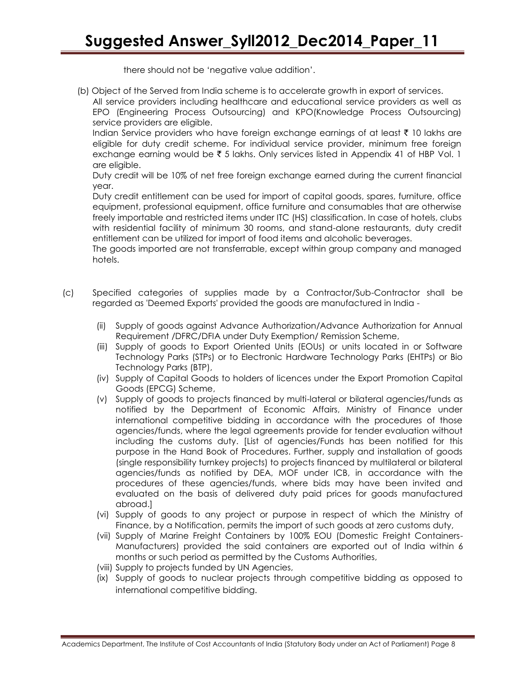there should not be 'negative value addition'.

(b) Object of the Served from India scheme is to accelerate growth in export of services.

All service providers including healthcare and educational service providers as well as EPO (Engineering Process Outsourcing) and KPO(Knowledge Process Outsourcing) service providers are eligible.

Indian Service providers who have foreign exchange earnings of at least  $\bar{\tau}$  10 lakhs are eligible for duty credit scheme. For individual service provider, minimum free foreign exchange earning would be  $\bar{\tau}$  5 lakhs. Only services listed in Appendix 41 of HBP Vol. 1 are eligible.

Duty credit will be 10% of net free foreign exchange earned during the current financial year.

Duty credit entitlement can be used for import of capital goods, spares, furniture, office equipment, professional equipment, office furniture and consumables that are otherwise freely importable and restricted items under ITC (HS) classification. In case of hotels, clubs with residential facility of minimum 30 rooms, and stand-alone restaurants, duty credit entitlement can be utilized for import of food items and alcoholic beverages.

The goods imported are not transferrable, except within group company and managed hotels.

- (c) Specified categories of supplies made by a Contractor/Sub-Contractor shall be regarded as 'Deemed Exports' provided the goods are manufactured in India -
	- (ii) Supply of goods against Advance Authorization/Advance Authorization for Annual Requirement /DFRC/DFIA under Duty Exemption/ Remission Scheme,
	- (iii) Supply of goods to Export Oriented Units (EOUs) or units located in or Software Technology Parks (STPs) or to Electronic Hardware Technology Parks (EHTPs) or Bio Technology Parks (BTP),
	- (iv) Supply of Capital Goods to holders of licences under the Export Promotion Capital Goods (EPCG) Scheme,
	- (v) Supply of goods to projects financed by multi-lateral or bilateral agencies/funds as notified by the Department of Economic Affairs, Ministry of Finance under international competitive bidding in accordance with the procedures of those agencies/funds, where the legal agreements provide for tender evaluation without including the customs duty. [List of agencies/Funds has been notified for this purpose in the Hand Book of Procedures. Further, supply and installation of goods (single responsibility turnkey projects) to projects financed by multilateral or bilateral agencies/funds as notified by DEA, MOF under ICB, in accordance with the procedures of these agencies/funds, where bids may have been invited and evaluated on the basis of delivered duty paid prices for goods manufactured abroad.]
	- (vi) Supply of goods to any project or purpose in respect of which the Ministry of Finance, by a Notification, permits the import of such goods at zero customs duty,
	- (vii) Supply of Marine Freight Containers by 100% EOU (Domestic Freight Containers-Manufacturers) provided the said containers are exported out of India within 6 months or such period as permitted by the Customs Authorities,
	- (viii) Supply to projects funded by UN Agencies,
	- (ix) Supply of goods to nuclear projects through competitive bidding as opposed to international competitive bidding.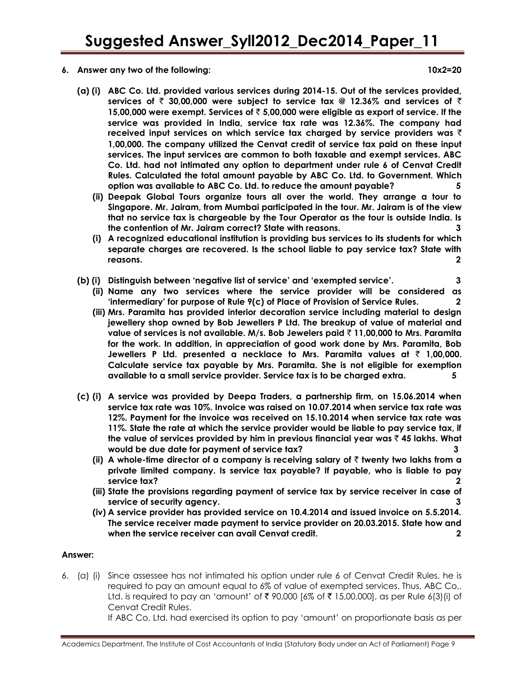**6. Answer any two of the following: 10x2=20**

- **(a) (i) ABC Co. Ltd. provided various services during 2014-15. Out of the services provided, services of** ` **30,00,000 were subject to service tax @ 12.36% and services of** ` **15,00,000 were exempt. Services of** ` **5,00,000 were eligible as export of service. If the service was provided in India, service tax rate was 12.36%. The company had received input services on which service tax charged by service providers was** ` **1,00,000. The company utilized the Cenvat credit of service tax paid on these input services. The input services are common to both taxable and exempt services. ABC Co. Ltd. had not intimated any option to department under rule 6 of Cenvat Credit Rules. Calculated the total amount payable by ABC Co. Ltd. to Government. Which option was available to ABC Co. Ltd. to reduce the amount payable? 5**
	- **(ii) Deepak Global Tours organize tours all over the world. They arrange a tour to Singapore. Mr. Jairam, from Mumbai participated in the tour. Mr. Jairam is of the view that no service tax is chargeable by the Tour Operator as the tour is outside India. Is the contention of Mr. Jairam correct? State with reasons. 3**
	- **(i) A recognized educational institution is providing bus services to its students for which separate charges are recovered. Is the school liable to pay service tax? State with reasons. 2**
- **(b) (i) Distinguish between 'negative list of service' and 'exempted service'. 3**
	- **(ii) Name any two services where the service provider will be considered as 'intermediary' for purpose of Rule 9(c) of Place of Provision of Service Rules. 2**
	- **(iii) Mrs. Paramita has provided interior decoration service including material to design jewellery shop owned by Bob Jewellers P Ltd. The breakup of value of material and value of services is not available. M/s. Bob Jewelers paid** ` **11,00,000 to Mrs. Paramita for the work. In addition, in appreciation of good work done by Mrs. Paramita, Bob Jewellers P Ltd. presented a necklace to Mrs. Paramita values at** ` **1,00,000. Calculate service tax payable by Mrs. Paramita. She is not eligible for exemption available to a small service provider. Service tax is to be charged extra. 5**
- **(c) (i) A service was provided by Deepa Traders, a partnership firm, on 15.06.2014 when service tax rate was 10%. Invoice was raised on 10.07.2014 when service tax rate was 12%. Payment for the invoice was received on 15.10.2014 when service tax rate was 11%. State the rate at which the service provider would be liable to pay service tax, if the value of services provided by him in previous financial year was** ` **45 lakhs. What would be due date for payment of service tax? 3**
	- **(ii) A whole-time director of a company is receiving salary of** ` **twenty two lakhs from a private limited company. Is service tax payable? If payable, who is liable to pay service tax? 2**
	- **(iii) State the provisions regarding payment of service tax by service receiver in case of service of security agency. 3**
	- **(iv) A service provider has provided service on 10.4.2014 and issued invoice on 5.5.2014. The service receiver made payment to service provider on 20.03.2015. State how and when the service receiver can avail Cenvat credit. 2**

# **Answer:**

6. (a) (i) Since assessee has not intimated his option under rule 6 of Cenvat Credit Rules, he is required to pay an amount equal to 6% of value of exempted services. Thus, ABC Co,. Ltd. is required to pay an 'amount' of  $\bar{\tau}$  90,000 [6% of  $\bar{\tau}$  15,00,000], as per Rule 6(3)(i) of Cenvat Credit Rules.

If ABC Co. Ltd. had exercised its option to pay 'amount' on proportionate basis as per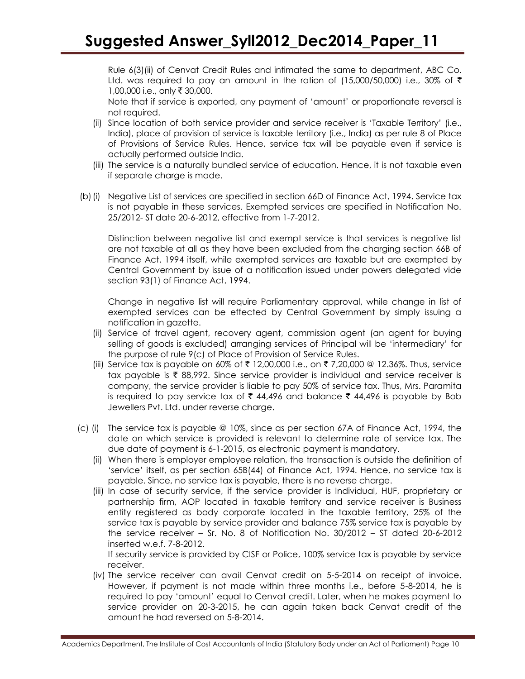Rule 6(3)(ii) of Cenvat Credit Rules and intimated the same to department, ABC Co. Ltd. was required to pay an amount in the ration of (15,000/50,000) i.e., 30% of  $\bar{\tau}$ 1,00,000 i.e., only ₹ 30,000.

Note that if service is exported, any payment of 'amount' or proportionate reversal is not required.

- (ii) Since location of both service provider and service receiver is 'Taxable Territory' (i.e., India), place of provision of service is taxable territory (i.e., India) as per rule 8 of Place of Provisions of Service Rules. Hence, service tax will be payable even if service is actually performed outside India.
- (iii) The service is a naturally bundled service of education. Hence, it is not taxable even if separate charge is made.
- (b)(i) Negative List of services are specified in section 66D of Finance Act, 1994. Service tax is not payable in these services. Exempted services are specified in Notification No. 25/2012- ST date 20-6-2012, effective from 1-7-2012.

Distinction between negative list and exempt service is that services is negative list are not taxable at all as they have been excluded from the charging section 66B of Finance Act, 1994 itself, while exempted services are taxable but are exempted by Central Government by issue of a notification issued under powers delegated vide section 93(1) of Finance Act, 1994.

Change in negative list will require Parliamentary approval, while change in list of exempted services can be effected by Central Government by simply issuing a notification in gazette.

- (ii) Service of travel agent, recovery agent, commission agent (an agent for buying selling of goods is excluded) arranging services of Principal will be 'intermediary' for the purpose of rule 9(c) of Place of Provision of Service Rules.
- (iii) Service tax is payable on 60% of ₹ 12,00,000 i.e., on ₹ 7,20,000 @ 12.36%. Thus, service tax payable is  $\bar{\tau}$  88,992. Since service provider is individual and service receiver is company, the service provider is liable to pay 50% of service tax. Thus, Mrs. Paramita is required to pay service tax of  $\bar{\tau}$  44,496 and balance  $\bar{\tau}$  44,496 is payable by Bob Jewellers Pvt. Ltd. under reverse charge.
- (c) (i) The service tax is payable @ 10%, since as per section 67A of Finance Act, 1994, the date on which service is provided is relevant to determine rate of service tax. The due date of payment is 6-1-2015, as electronic payment is mandatory.
	- (ii) When there is employer employee relation, the transaction is outside the definition of 'service' itself, as per section 65B(44) of Finance Act, 1994. Hence, no service tax is payable. Since, no service tax is payable, there is no reverse charge.
	- (iii) In case of security service, if the service provider is Individual, HUF, proprietary or partnership firm, AOP located in taxable territory and service receiver is Business entity registered as body corporate located in the taxable territory, 25% of the service tax is payable by service provider and balance 75% service tax is payable by the service receiver – Sr. No. 8 of Notification No. 30/2012 – ST dated 20-6-2012 inserted w.e.f. 7-8-2012.

If security service is provided by CISF or Police, 100% service tax is payable by service receiver.

(iv) The service receiver can avail Cenvat credit on 5-5-2014 on receipt of invoice. However, if payment is not made within three months i.e., before 5-8-2014, he is required to pay 'amount' equal to Cenvat credit. Later, when he makes payment to service provider on 20-3-2015, he can again taken back Cenvat credit of the amount he had reversed on 5-8-2014.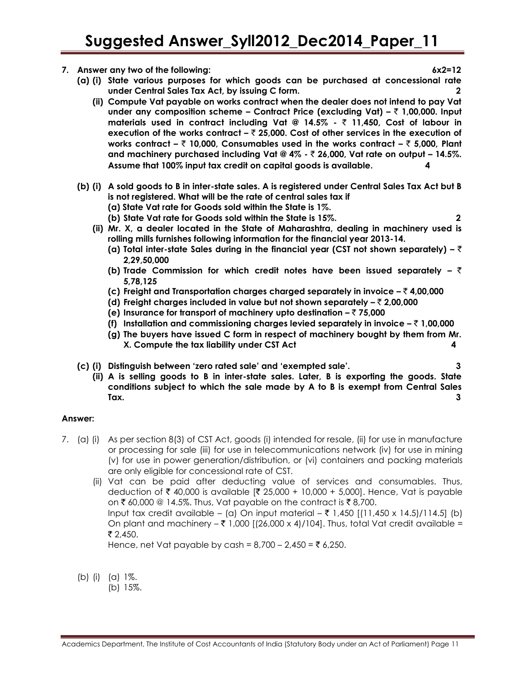- **7. Answer any two of the following: 6x2=12**
	- **(a) (i) State various purposes for which goods can be purchased at concessional rate under Central Sales Tax Act, by issuing C form. 2**
		- **(ii) Compute Vat payable on works contract when the dealer does not intend to pay Vat under any composition scheme – Contract Price (excluding Vat) –** ` **1,00,000. Input materials used in contract including Vat @ 14.5% -** ` **11,450, Cost of labour in execution of the works contract –** ` **25,000. Cost of other services in the execution of works contract –** ` **10,000, Consumables used in the works contract –** ` **5,000, Plant and machinery purchased including Vat @ 4% -** ` **26,000, Vat rate on output – 14.5%. Assume that 100% input tax credit on capital goods is available. 4**
	- **(b) (i) A sold goods to B in inter-state sales. A is registered under Central Sales Tax Act but B is not registered. What will be the rate of central sales tax if** 
		- **(a) State Vat rate for Goods sold within the State is 1%.**
		- **(b) State Vat rate for Goods sold within the State is 15%. 2**
		- **(ii) Mr. X, a dealer located in the State of Maharashtra, dealing in machinery used is rolling mills furnishes following information for the financial year 2013-14.**
			- **(a) Total inter-state Sales during in the financial year (CST not shown separately) –** ` **2,29,50,000**
			- **(b) Trade Commission for which credit notes have been issued separately –** ` **5,78,125**
			- **(c) Freight and Transportation charges charged separately in invoice –** ` **4,00,000**
			- **(d) Freight charges included in value but not shown separately –** ` **2,00,000**
			- **(e) Insurance for transport of machinery upto destination –** ` **75,000**
			- **(f)** Installation and commissioning charges levied separately in invoice  $-\bar{\tau}$  1,00,000
			- **(g) The buyers have issued C form in respect of machinery bought by them from Mr. X. Compute the tax liability under CST Act 4**
	- **(c) (i) Distinguish between 'zero rated sale' and 'exempted sale'. 3**
		- **(ii) A is selling goods to B in inter-state sales. Later, B is exporting the goods. State conditions subject to which the sale made by A to B is exempt from Central Sales Tax. 3**

#### **Answer:**

- 7. (a) (i) As per section 8(3) of CST Act, goods (i) intended for resale, (ii) for use in manufacture or processing for sale (iii) for use in telecommunications network (iv) for use in mining (v) for use in power generation/distribution, or (vi) containers and packing materials are only eligible for concessional rate of CST.
	- (ii) Vat can be paid after deducting value of services and consumables. Thus, deduction of ₹ 40,000 is available [₹ 25,000 + 10,000 + 5,000]. Hence, Vat is payable on ₹ 60,000 @ 14.5%. Thus, Vat payable on the contract is ₹ 8,700. Input tax credit available – (a) On input material – ₹ 1,450 [(11,450 x 14.5)/114.5] (b) On plant and machinery  $-\bar{\tau}$  1,000 [(26,000 x 4)/104]. Thus, total Vat credit available =  $\bar{\mathcal{E}}$  2,450.

Hence, net Vat payable by cash =  $8,700 - 2,450 = ₹ 6,250$ .

(b) (i) (a) 1%.

(b) 15%.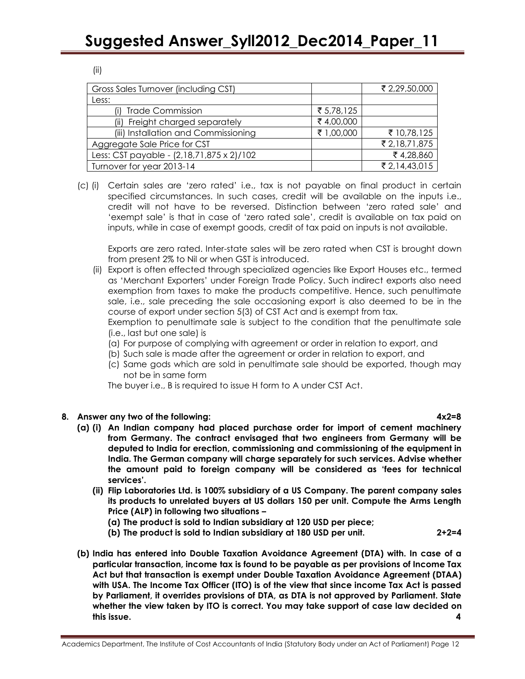|            | ₹ 2,29,50,000 |
|------------|---------------|
|            |               |
| ₹ 5,78,125 |               |
| ₹4,00,000  |               |
| ₹ 1,00,000 | ₹ 10,78,125   |
|            | ₹ 2,18,71,875 |
|            | ₹4,28,860     |
|            | ₹ 2,14,43,015 |
|            |               |

(c) (i) Certain sales are 'zero rated' i.e., tax is not payable on final product in certain specified circumstances. In such cases, credit will be available on the inputs i.e., credit will not have to be reversed. Distinction between 'zero rated sale' and 'exempt sale' is that in case of 'zero rated sale', credit is available on tax paid on inputs, while in case of exempt goods, credit of tax paid on inputs is not available.

Exports are zero rated. Inter-state sales will be zero rated when CST is brought down from present 2% to Nil or when GST is introduced.

(ii) Export is often effected through specialized agencies like Export Houses etc., termed as 'Merchant Exporters' under Foreign Trade Policy. Such indirect exports also need exemption from taxes to make the products competitive. Hence, such penultimate sale, i.e., sale preceding the sale occasioning export is also deemed to be in the course of export under section 5(3) of CST Act and is exempt from tax.

Exemption to penultimate sale is subject to the condition that the penultimate sale (i.e., last but one sale) is

- (a) For purpose of complying with agreement or order in relation to export, and
- (b) Such sale is made after the agreement or order in relation to export, and
- (c) Same gods which are sold in penultimate sale should be exported, though may not be in same form

The buyer i.e., B is required to issue H form to A under CST Act.

# **8. Answer any two of the following: 4x2=8**

- **(a) (i) An Indian company had placed purchase order for import of cement machinery from Germany. The contract envisaged that two engineers from Germany will be deputed to India for erection, commissioning and commissioning of the equipment in India. The German company will charge separately for such services. Advise whether the amount paid to foreign company will be considered as 'fees for technical services'.** 
	- **(ii) Flip Laboratories Ltd. is 100% subsidiary of a US Company. The parent company sales its products to unrelated buyers at US dollars 150 per unit. Compute the Arms Length Price (ALP) in following two situations –**
		- **(a) The product is sold to Indian subsidiary at 120 USD per piece;**
		- **(b) The product is sold to Indian subsidiary at 180 USD per unit. 2+2=4**
- **(b) India has entered into Double Taxation Avoidance Agreement (DTA) with. In case of a particular transaction, income tax is found to be payable as per provisions of Income Tax Act but that transaction is exempt under Double Taxation Avoidance Agreement (DTAA) with USA. The Income Tax Officer (ITO) is of the view that since income Tax Act is passed by Parliament, it overrides provisions of DTA, as DTA is not approved by Parliament. State whether the view taken by ITO is correct. You may take support of case law decided on this issue. 4**

(ii)